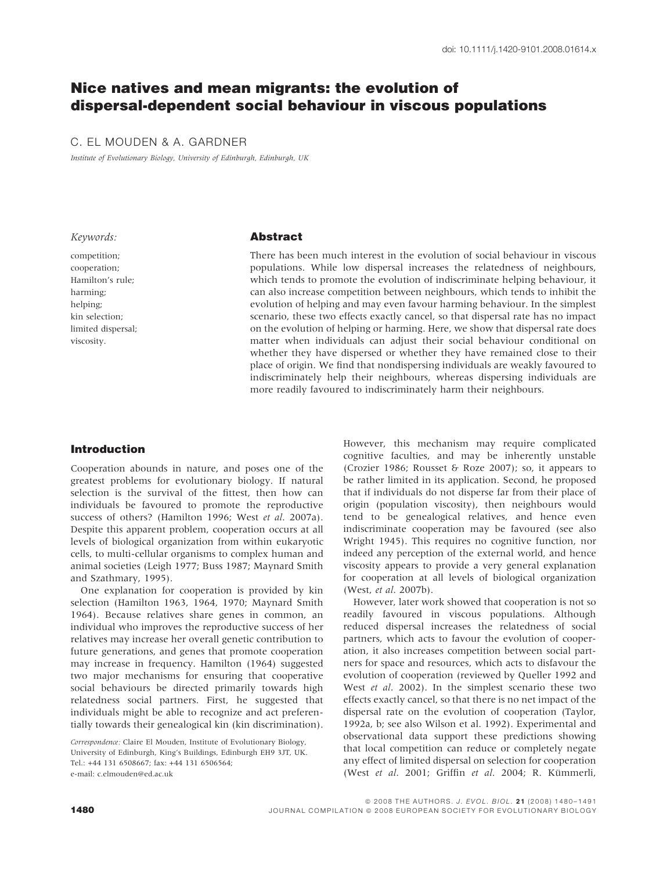# Nice natives and mean migrants: the evolution of dispersal-dependent social behaviour in viscous populations

## C. EL MOUDEN & A. GARDNER

Institute of Evolutionary Biology, University of Edinburgh, Edinburgh, UK

#### Keywords:

competition; cooperation; Hamilton's rule; harming; helping; kin selection; limited dispersal; viscosity.

## Abstract

There has been much interest in the evolution of social behaviour in viscous populations. While low dispersal increases the relatedness of neighbours, which tends to promote the evolution of indiscriminate helping behaviour, it can also increase competition between neighbours, which tends to inhibit the evolution of helping and may even favour harming behaviour. In the simplest scenario, these two effects exactly cancel, so that dispersal rate has no impact on the evolution of helping or harming. Here, we show that dispersal rate does matter when individuals can adjust their social behaviour conditional on whether they have dispersed or whether they have remained close to their place of origin. We find that nondispersing individuals are weakly favoured to indiscriminately help their neighbours, whereas dispersing individuals are more readily favoured to indiscriminately harm their neighbours.

## Introduction

Cooperation abounds in nature, and poses one of the greatest problems for evolutionary biology. If natural selection is the survival of the fittest, then how can individuals be favoured to promote the reproductive success of others? (Hamilton 1996; West et al. 2007a). Despite this apparent problem, cooperation occurs at all levels of biological organization from within eukaryotic cells, to multi-cellular organisms to complex human and animal societies (Leigh 1977; Buss 1987; Maynard Smith and Szathmary, 1995).

One explanation for cooperation is provided by kin selection (Hamilton 1963, 1964, 1970; Maynard Smith 1964). Because relatives share genes in common, an individual who improves the reproductive success of her relatives may increase her overall genetic contribution to future generations, and genes that promote cooperation may increase in frequency. Hamilton (1964) suggested two major mechanisms for ensuring that cooperative social behaviours be directed primarily towards high relatedness social partners. First, he suggested that individuals might be able to recognize and act preferentially towards their genealogical kin (kin discrimination).

Correspondence: Claire El Mouden, Institute of Evolutionary Biology, University of Edinburgh, King's Buildings, Edinburgh EH9 3JT, UK. Tel.: +44 131 6508667; fax: +44 131 6506564; e-mail: c.elmouden@ed.ac.uk

However, this mechanism may require complicated cognitive faculties, and may be inherently unstable (Crozier 1986; Rousset & Roze 2007); so, it appears to be rather limited in its application. Second, he proposed that if individuals do not disperse far from their place of origin (population viscosity), then neighbours would tend to be genealogical relatives, and hence even indiscriminate cooperation may be favoured (see also Wright 1945). This requires no cognitive function, nor indeed any perception of the external world, and hence viscosity appears to provide a very general explanation for cooperation at all levels of biological organization (West, et al. 2007b).

However, later work showed that cooperation is not so readily favoured in viscous populations. Although reduced dispersal increases the relatedness of social partners, which acts to favour the evolution of cooperation, it also increases competition between social partners for space and resources, which acts to disfavour the evolution of cooperation (reviewed by Queller 1992 and West et al. 2002). In the simplest scenario these two effects exactly cancel, so that there is no net impact of the dispersal rate on the evolution of cooperation (Taylor, 1992a, b; see also Wilson et al. 1992). Experimental and observational data support these predictions showing that local competition can reduce or completely negate any effect of limited dispersal on selection for cooperation (West et al. 2001; Griffin et al. 2004; R. Kümmerli,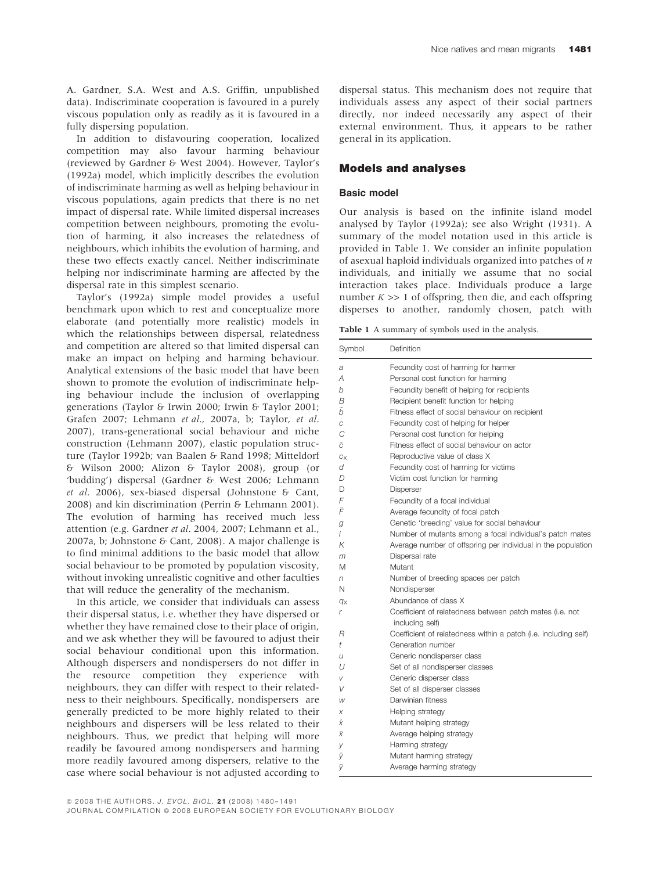A. Gardner, S.A. West and A.S. Griffin, unpublished data). Indiscriminate cooperation is favoured in a purely viscous population only as readily as it is favoured in a fully dispersing population.

In addition to disfavouring cooperation, localized competition may also favour harming behaviour (reviewed by Gardner & West 2004). However, Taylor's (1992a) model, which implicitly describes the evolution of indiscriminate harming as well as helping behaviour in viscous populations, again predicts that there is no net impact of dispersal rate. While limited dispersal increases competition between neighbours, promoting the evolution of harming, it also increases the relatedness of neighbours, which inhibits the evolution of harming, and these two effects exactly cancel. Neither indiscriminate helping nor indiscriminate harming are affected by the dispersal rate in this simplest scenario.

Taylor's (1992a) simple model provides a useful benchmark upon which to rest and conceptualize more elaborate (and potentially more realistic) models in which the relationships between dispersal, relatedness and competition are altered so that limited dispersal can make an impact on helping and harming behaviour. Analytical extensions of the basic model that have been shown to promote the evolution of indiscriminate helping behaviour include the inclusion of overlapping generations (Taylor & Irwin 2000; Irwin & Taylor 2001; Grafen 2007; Lehmann et al., 2007a, b; Taylor, et al. 2007), trans-generational social behaviour and niche construction (Lehmann 2007), elastic population structure (Taylor 1992b; van Baalen & Rand 1998; Mitteldorf & Wilson 2000; Alizon & Taylor 2008), group (or 'budding') dispersal (Gardner & West 2006; Lehmann et al. 2006), sex-biased dispersal (Johnstone & Cant, 2008) and kin discrimination (Perrin & Lehmann 2001). The evolution of harming has received much less attention (e.g. Gardner et al. 2004, 2007; Lehmann et al., 2007a, b; Johnstone & Cant, 2008). A major challenge is to find minimal additions to the basic model that allow social behaviour to be promoted by population viscosity, without invoking unrealistic cognitive and other faculties that will reduce the generality of the mechanism.

In this article, we consider that individuals can assess their dispersal status, i.e. whether they have dispersed or whether they have remained close to their place of origin, and we ask whether they will be favoured to adjust their social behaviour conditional upon this information. Although dispersers and nondispersers do not differ in the resource competition they experience with neighbours, they can differ with respect to their relatedness to their neighbours. Specifically, nondispersers are generally predicted to be more highly related to their neighbours and dispersers will be less related to their neighbours. Thus, we predict that helping will more readily be favoured among nondispersers and harming more readily favoured among dispersers, relative to the case where social behaviour is not adjusted according to

dispersal status. This mechanism does not require that individuals assess any aspect of their social partners directly, nor indeed necessarily any aspect of their external environment. Thus, it appears to be rather general in its application.

## Models and analyses

#### Basic model

Our analysis is based on the infinite island model analysed by Taylor (1992a); see also Wright (1931). A summary of the model notation used in this article is provided in Table 1. We consider an infinite population of asexual haploid individuals organized into patches of  $n$ individuals, and initially we assume that no social interaction takes place. Individuals produce a large number  $K \gg 1$  of offspring, then die, and each offspring disperses to another, randomly chosen, patch with

Table 1 A summary of symbols used in the analysis.

| Symbol       | Definition                                                                  |
|--------------|-----------------------------------------------------------------------------|
| а            | Fecundity cost of harming for harmer                                        |
| Α            | Personal cost function for harming                                          |
| b            | Fecundity benefit of helping for recipients                                 |
| B            | Recipient benefit function for helping                                      |
| b            | Fitness effect of social behaviour on recipient                             |
| С            | Fecundity cost of helping for helper                                        |
| С            | Personal cost function for helping                                          |
| Č            | Fitness effect of social behaviour on actor                                 |
| $C_{\times}$ | Reproductive value of class X                                               |
| d            | Fecundity cost of harming for victims                                       |
| D            | Victim cost function for harming                                            |
| D            | <b>Disperser</b>                                                            |
| F            | Fecundity of a focal individual                                             |
| Ē            | Average fecundity of focal patch                                            |
| g            | Genetic 'breeding' value for social behaviour                               |
| İ            | Number of mutants among a focal individual's patch mates                    |
| Κ            | Average number of offspring per individual in the population                |
| т            | Dispersal rate                                                              |
| Μ            | Mutant                                                                      |
| n            | Number of breeding spaces per patch                                         |
| Ν            | Nondisperser                                                                |
| $q_{\times}$ | Abundance of class X                                                        |
| r            | Coefficient of relatedness between patch mates (i.e. not<br>including self) |
| R            | Coefficient of relatedness within a patch (i.e. including self)             |
| t            | Generation number                                                           |
| u            | Generic nondisperser class                                                  |
| U            | Set of all nondisperser classes                                             |
| V            | Generic disperser class                                                     |
| V            | Set of all disperser classes                                                |
| W            | Darwinian fitness                                                           |
| Χ            | Helping strategy                                                            |
| Ÿ            | Mutant helping strategy                                                     |
| Х            | Average helping strategy                                                    |
| у            | Harming strategy                                                            |
| ŷ            | Mutant harming strategy                                                     |
| ÿ            | Average harming strategy                                                    |

<sup>© 2008</sup> THE AUTHORS. J. EVOL. BIOL. 21 (2008) 1480-1491

JOURNAL COMPILATION © 2008 EUROPEAN SOCIETY FOR EVOLUTIONARY BIOLOGY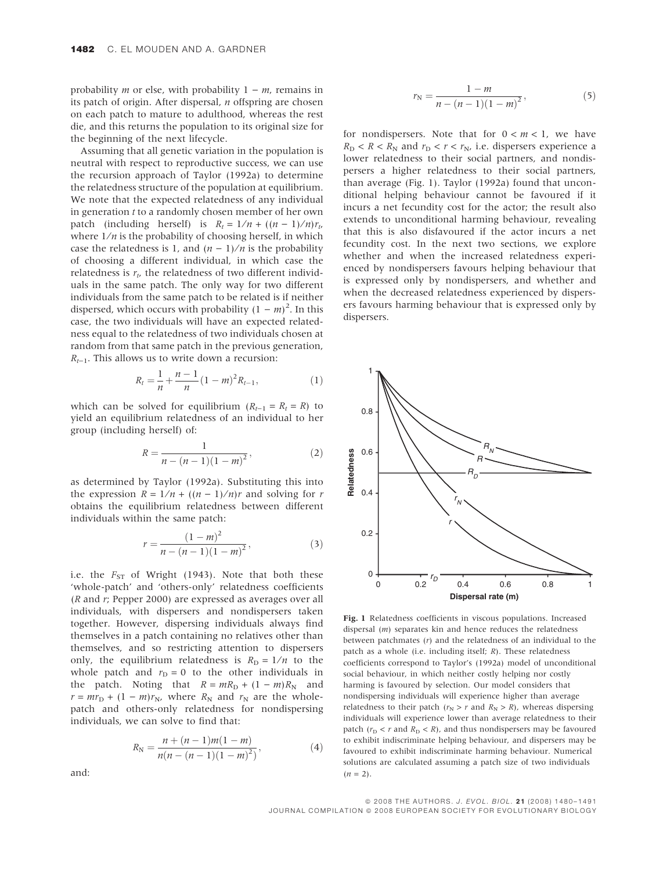probability *m* or else, with probability  $1 - m$ , remains in its patch of origin. After dispersal,  $n$  offspring are chosen on each patch to mature to adulthood, whereas the rest die, and this returns the population to its original size for the beginning of the next lifecycle.

Assuming that all genetic variation in the population is neutral with respect to reproductive success, we can use the recursion approach of Taylor (1992a) to determine the relatedness structure of the population at equilibrium. We note that the expected relatedness of any individual in generation *t* to a randomly chosen member of her own patch (including herself) is  $R_t = 1/n + ((n - 1)/n)r_t$ , where  $1/n$  is the probability of choosing herself, in which case the relatedness is 1, and  $(n - 1)$ /*n* is the probability of choosing a different individual, in which case the relatedness is  $r_t$ , the relatedness of two different individuals in the same patch. The only way for two different individuals from the same patch to be related is if neither dispersed, which occurs with probability  $(1 - m)^2$ . In this case, the two individuals will have an expected relatedness equal to the relatedness of two individuals chosen at random from that same patch in the previous generation,  $R_{t-1}$ . This allows us to write down a recursion:

$$
R_t = \frac{1}{n} + \frac{n-1}{n} (1-m)^2 R_{t-1},
$$
\n(1)

which can be solved for equilibrium  $(R_{t-1} = R_t = R)$  to yield an equilibrium relatedness of an individual to her group (including herself) of:

$$
R = \frac{1}{n - (n - 1)(1 - m)^2},
$$
 (2)

as determined by Taylor (1992a). Substituting this into the expression  $R = 1/n + ((n - 1)/n)r$  and solving for r obtains the equilibrium relatedness between different individuals within the same patch:

$$
r = \frac{(1 - m)^2}{n - (n - 1)(1 - m)^2},
$$
\n(3)

i.e. the  $F_{ST}$  of Wright (1943). Note that both these 'whole-patch' and 'others-only' relatedness coefficients (R and r; Pepper 2000) are expressed as averages over all individuals, with dispersers and nondispersers taken together. However, dispersing individuals always find themselves in a patch containing no relatives other than themselves, and so restricting attention to dispersers only, the equilibrium relatedness is  $R_D = 1/n$  to the whole patch and  $r<sub>D</sub> = 0$  to the other individuals in the patch. Noting that  $R = mR_D + (1 - m)R_N$  and  $r = mr<sub>D</sub> + (1 - m)r<sub>N</sub>$ , where  $R<sub>N</sub>$  and  $r<sub>N</sub>$  are the wholepatch and others-only relatedness for nondispersing individuals, we can solve to find that:

$$
R_{N} = \frac{n + (n - 1)m(1 - m)}{n(n - (n - 1)(1 - m)^{2})},
$$
\n(4)

 $r_{\rm N} = \frac{1 - m}{(m - 1)(1)}$  $\frac{n!}{(n-1)(1-m)^2}$ , (5)

for nondispersers. Note that for  $0 < m < 1$ , we have  $R_D < R < R_N$  and  $r_D < r < r_N$ , i.e. dispersers experience a lower relatedness to their social partners, and nondispersers a higher relatedness to their social partners, than average (Fig. 1). Taylor (1992a) found that unconditional helping behaviour cannot be favoured if it incurs a net fecundity cost for the actor; the result also extends to unconditional harming behaviour, revealing that this is also disfavoured if the actor incurs a net fecundity cost. In the next two sections, we explore whether and when the increased relatedness experienced by nondispersers favours helping behaviour that is expressed only by nondispersers, and whether and when the decreased relatedness experienced by dispersers favours harming behaviour that is expressed only by dispersers.



Fig. 1 Relatedness coefficients in viscous populations. Increased dispersal (m) separates kin and hence reduces the relatedness between patchmates  $(r)$  and the relatedness of an individual to the patch as a whole (i.e. including itself; R). These relatedness coefficients correspond to Taylor's (1992a) model of unconditional social behaviour, in which neither costly helping nor costly harming is favoured by selection. Our model considers that nondispersing individuals will experience higher than average relatedness to their patch ( $r_N > r$  and  $R_N > R$ ), whereas dispersing individuals will experience lower than average relatedness to their patch  $(r_D < r$  and  $R_D < R$ ), and thus nondispersers may be favoured to exhibit indiscriminate helping behaviour, and dispersers may be favoured to exhibit indiscriminate harming behaviour. Numerical solutions are calculated assuming a patch size of two individuals  $(n = 2)$ .

and: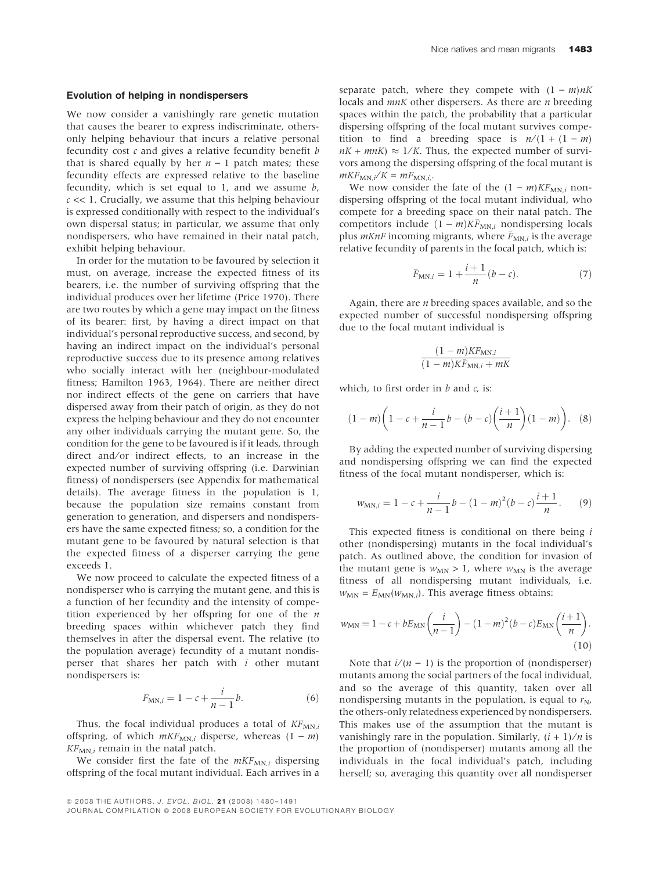#### Evolution of helping in nondispersers

We now consider a vanishingly rare genetic mutation that causes the bearer to express indiscriminate, othersonly helping behaviour that incurs a relative personal fecundity cost  $c$  and gives a relative fecundity benefit  $b$ that is shared equally by her  $n - 1$  patch mates; these fecundity effects are expressed relative to the baseline fecundity, which is set equal to 1, and we assume  $b$ ,  $c \ll 1$ . Crucially, we assume that this helping behaviour is expressed conditionally with respect to the individual's own dispersal status; in particular, we assume that only nondispersers, who have remained in their natal patch, exhibit helping behaviour.

In order for the mutation to be favoured by selection it must, on average, increase the expected fitness of its bearers, i.e. the number of surviving offspring that the individual produces over her lifetime (Price 1970). There are two routes by which a gene may impact on the fitness of its bearer: first, by having a direct impact on that individual's personal reproductive success, and second, by having an indirect impact on the individual's personal reproductive success due to its presence among relatives who socially interact with her (neighbour-modulated fitness; Hamilton 1963, 1964). There are neither direct nor indirect effects of the gene on carriers that have dispersed away from their patch of origin, as they do not express the helping behaviour and they do not encounter any other individuals carrying the mutant gene. So, the condition for the gene to be favoured is if it leads, through direct and/or indirect effects, to an increase in the expected number of surviving offspring (i.e. Darwinian fitness) of nondispersers (see Appendix for mathematical details). The average fitness in the population is 1, because the population size remains constant from generation to generation, and dispersers and nondispersers have the same expected fitness; so, a condition for the mutant gene to be favoured by natural selection is that the expected fitness of a disperser carrying the gene exceeds 1.

We now proceed to calculate the expected fitness of a nondisperser who is carrying the mutant gene, and this is a function of her fecundity and the intensity of competition experienced by her offspring for one of the  $n$ breeding spaces within whichever patch they find themselves in after the dispersal event. The relative (to the population average) fecundity of a mutant nondisperser that shares her patch with  $i$  other mutant nondispersers is:

$$
F_{\text{MN},i} = 1 - c + \frac{i}{n-1}b.
$$
 (6)

Thus, the focal individual produces a total of  $KF_{MN,i}$ offspring, of which  $mKF_{MN,i}$  disperse, whereas  $(1 - m)$  $KF_{MN,i}$  remain in the natal patch.

We consider first the fate of the  $mKF_{MN,i}$  dispersing offspring of the focal mutant individual. Each arrives in a separate patch, where they compete with  $(1 - m)nK$ locals and *mnK* other dispersers. As there are *n* breeding spaces within the patch, the probability that a particular dispersing offspring of the focal mutant survives competition to find a breeding space is  $n/(1 + (1 - m))$  $nK + mnK \approx 1/K$ . Thus, the expected number of survivors among the dispersing offspring of the focal mutant is  $mKF_{MN,i}/K = mF_{MN,i}$ .

We now consider the fate of the  $(1 - m)KF_{MN,i}$  nondispersing offspring of the focal mutant individual, who compete for a breeding space on their natal patch. The competitors include  $(1 - m)K\overline{F}_{MN,i}$  nondispersing locals plus  $mKnF$  incoming migrants, where  $\bar{F}_{\mathrm{MN},i}$  is the average relative fecundity of parents in the focal patch, which is:

$$
\bar{F}_{MN,i} = 1 + \frac{i+1}{n}(b-c).
$$
 (7)

Again, there are  $n$  breeding spaces available, and so the expected number of successful nondispersing offspring due to the focal mutant individual is

$$
\frac{(1-m)KF_{MN,i}}{(1-m)K\bar{F}_{MN,i}+mK}
$$

which, to first order in  $b$  and  $c$ , is:

$$
(1 - m) \left( 1 - c + \frac{i}{n-1} b - (b - c) \left( \frac{i+1}{n} \right) (1 - m) \right). \tag{8}
$$

By adding the expected number of surviving dispersing and nondispersing offspring we can find the expected fitness of the focal mutant nondisperser, which is:

$$
w_{MN,i} = 1 - c + \frac{i}{n-1}b - (1-m)^2(b-c)\frac{i+1}{n}.
$$
 (9)

This expected fitness is conditional on there being  $i$ other (nondispersing) mutants in the focal individual's patch. As outlined above, the condition for invasion of the mutant gene is  $w_{MN} > 1$ , where  $w_{MN}$  is the average fitness of all nondispersing mutant individuals, i.e.  $W_{MN} = E_{MN}(W_{MN,i})$ . This average fitness obtains:

$$
w_{MN} = 1 - c + bE_{MN} \left(\frac{i}{n-1}\right) - (1-m)^2 (b-c) E_{MN} \left(\frac{i+1}{n}\right).
$$
\n(10)

Note that  $i/(n - 1)$  is the proportion of (nondisperser) mutants among the social partners of the focal individual, and so the average of this quantity, taken over all nondispersing mutants in the population, is equal to  $r_N$ , the others-only relatedness experienced by nondispersers. This makes use of the assumption that the mutant is vanishingly rare in the population. Similarly,  $(i + 1)/n$  is the proportion of (nondisperser) mutants among all the individuals in the focal individual's patch, including herself; so, averaging this quantity over all nondisperser

<sup>© 2008</sup> THE AUTHORS. J. EVOL. BIOL. 21 (2008) 1480-1491 JOURNAL COMPILATION © 2008 EUROPEAN SOCIETY FOR EVOLUTIONARY BIOLOGY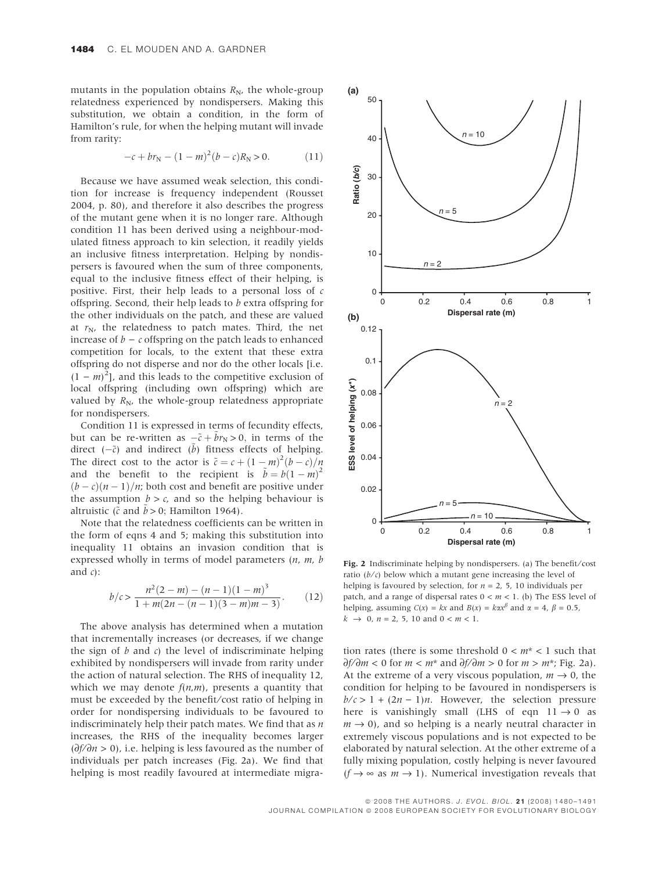mutants in the population obtains  $R_N$ , the whole-group relatedness experienced by nondispersers. Making this substitution, we obtain a condition, in the form of Hamilton's rule, for when the helping mutant will invade from rarity:

$$
-c + br_N - (1 - m)^2 (b - c) R_N > 0.
$$
 (11)

Because we have assumed weak selection, this condition for increase is frequency independent (Rousset 2004, p. 80), and therefore it also describes the progress of the mutant gene when it is no longer rare. Although condition 11 has been derived using a neighbour-modulated fitness approach to kin selection, it readily yields an inclusive fitness interpretation. Helping by nondispersers is favoured when the sum of three components, equal to the inclusive fitness effect of their helping, is positive. First, their help leads to a personal loss of  $c$ offspring. Second, their help leads to  $b$  extra offspring for the other individuals on the patch, and these are valued at  $r_N$ , the relatedness to patch mates. Third, the net increase of  $b - c$  offspring on the patch leads to enhanced competition for locals, to the extent that these extra offspring do not disperse and nor do the other locals [i.e.  $(1 - m)^2$ ], and this leads to the competitive exclusion of local offspring (including own offspring) which are valued by  $R_N$ , the whole-group relatedness appropriate for nondispersers.

Condition 11 is expressed in terms of fecundity effects, but can be re-written as  $-\tilde{c} + \tilde{b}r_N > 0$ , in terms of the direct  $(-\tilde{c})$  and indirect  $(\tilde{b})$  fitness effects of helping. The direct cost to the actor is  $\tilde{c} = c + (1 - m)^2 (b - c)/m$ and the benefit to the recipient is  $\tilde{b} = b(1 - m)^2$  $(b-c)(n-1)/n$ ; both cost and benefit are positive under the assumption  $b > c$ , and so the helping behaviour is altruistic ( $\tilde{c}$  and  $b > 0$ ; Hamilton 1964).

Note that the relatedness coefficients can be written in the form of eqns 4 and 5; making this substitution into inequality 11 obtains an invasion condition that is expressed wholly in terms of model parameters  $(n, m, b)$ and  $c$ ):

$$
b/c > \frac{n^2(2-m) - (n-1)(1-m)^3}{1 + m(2n - (n-1)(3-m)m - 3)}.
$$
 (12)

The above analysis has determined when a mutation that incrementally increases (or decreases, if we change the sign of  $b$  and  $c$ ) the level of indiscriminate helping exhibited by nondispersers will invade from rarity under the action of natural selection. The RHS of inequality 12, which we may denote  $f(n,m)$ , presents a quantity that must be exceeded by the benefit⁄ cost ratio of helping in order for nondispersing individuals to be favoured to indiscriminately help their patch mates. We find that as  $n$ increases, the RHS of the inequality becomes larger  $(\partial f / \partial n > 0)$ , i.e. helping is less favoured as the number of individuals per patch increases (Fig. 2a). We find that helping is most readily favoured at intermediate migra-



Fig. 2 Indiscriminate helping by nondispersers. (a) The benefit/cost ratio  $(b/c)$  below which a mutant gene increasing the level of helping is favoured by selection, for  $n = 2$ , 5, 10 individuals per patch, and a range of dispersal rates  $0 < m < 1$ . (b) The ESS level of helping, assuming  $C(x) = kx$  and  $B(x) = k\alpha x^{\beta}$  and  $\alpha = 4$ ,  $\beta = 0.5$ ,  $k \to 0$ ,  $n = 2, 5, 10$  and  $0 < m < 1$ .

tion rates (there is some threshold  $0 < m^* < 1$  such that  $\partial f / \partial m < 0$  for  $m < m^*$  and  $\partial f / \partial m > 0$  for  $m > m^*$ ; Fig. 2a). At the extreme of a very viscous population,  $m \rightarrow 0$ , the condition for helping to be favoured in nondispersers is  $b/c > 1 + (2n - 1)n$ . However, the selection pressure here is vanishingly small (LHS of eqn  $11 \rightarrow 0$  as  $m \rightarrow 0$ ), and so helping is a nearly neutral character in extremely viscous populations and is not expected to be elaborated by natural selection. At the other extreme of a fully mixing population, costly helping is never favoured  $(f \rightarrow \infty \text{ as } m \rightarrow 1)$ . Numerical investigation reveals that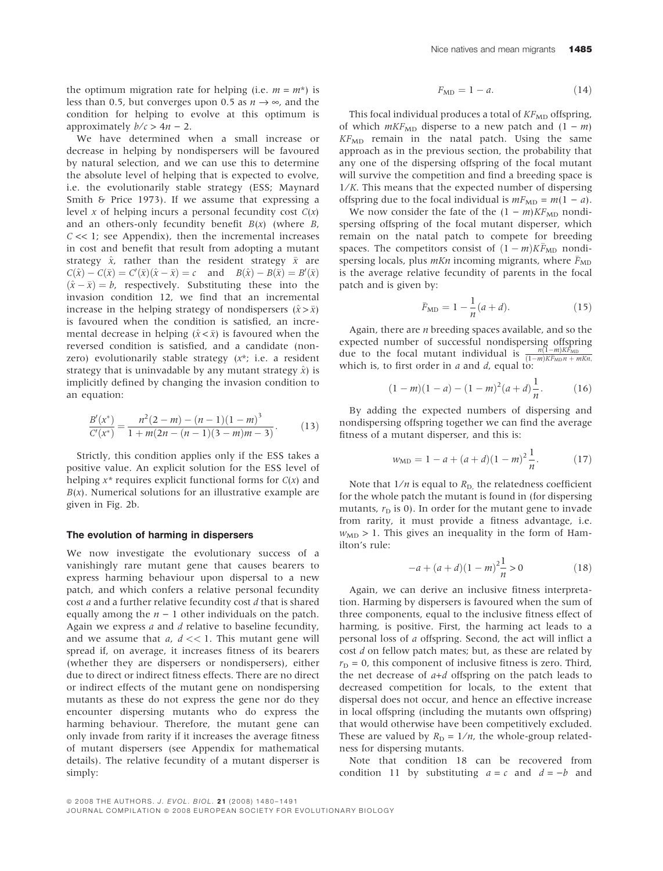the optimum migration rate for helping (i.e.  $m = m^*$ ) is less than 0.5, but converges upon 0.5 as  $n \to \infty$ , and the condition for helping to evolve at this optimum is approximately  $b/c > 4n - 2$ .

We have determined when a small increase or decrease in helping by nondispersers will be favoured by natural selection, and we can use this to determine the absolute level of helping that is expected to evolve, i.e. the evolutionarily stable strategy (ESS; Maynard Smith & Price 1973). If we assume that expressing a level x of helping incurs a personal fecundity cost  $C(x)$ and an others-only fecundity benefit  $B(x)$  (where B,  $C \ll 1$ ; see Appendix), then the incremental increases in cost and benefit that result from adopting a mutant strategy  $\hat{x}$ , rather than the resident strategy  $\bar{x}$  are  $C(\hat{x}) - C(\bar{x}) = C'(\bar{x})(\hat{x} - \bar{x}) = c$  and  $B(\hat{x}) - B(\bar{x}) = B'(\bar{x})$  $(\hat{x} - \bar{x}) = b$ , respectively. Substituting these into the invasion condition 12, we find that an incremental increase in the helping strategy of nondispersers  $(\hat{x} > \bar{x})$ is favoured when the condition is satisfied, an incremental decrease in helping  $(\hat{x} < \bar{x})$  is favoured when the reversed condition is satisfied, and a candidate (nonzero) evolutionarily stable strategy (x\*; i.e. a resident strategy that is uninvadable by any mutant strategy  $\hat{x}$ ) is implicitly defined by changing the invasion condition to an equation:

$$
\frac{B'(x^*)}{C'(x^*)} = \frac{n^2(2-m) - (n-1)(1-m)^3}{1 + m(2n - (n-1)(3-m)m - 3)}.
$$
(13)

Strictly, this condition applies only if the ESS takes a positive value. An explicit solution for the ESS level of helping  $x^*$  requires explicit functional forms for  $C(x)$  and  $B(x)$ . Numerical solutions for an illustrative example are given in Fig. 2b.

#### The evolution of harming in dispersers

We now investigate the evolutionary success of a vanishingly rare mutant gene that causes bearers to express harming behaviour upon dispersal to a new patch, and which confers a relative personal fecundity cost  $a$  and a further relative fecundity cost  $d$  that is shared equally among the  $n - 1$  other individuals on the patch. Again we express a and d relative to baseline fecundity, and we assume that a,  $d \ll 1$ . This mutant gene will spread if, on average, it increases fitness of its bearers (whether they are dispersers or nondispersers), either due to direct or indirect fitness effects. There are no direct or indirect effects of the mutant gene on nondispersing mutants as these do not express the gene nor do they encounter dispersing mutants who do express the harming behaviour. Therefore, the mutant gene can only invade from rarity if it increases the average fitness of mutant dispersers (see Appendix for mathematical details). The relative fecundity of a mutant disperser is simply:

$$
F_{\rm MD} = 1 - a. \tag{14}
$$

This focal individual produces a total of  $\overline{KF_{MD}}$  offspring, of which  $mKF_{MD}$  disperse to a new patch and  $(1 - m)$  $KF<sub>MD</sub>$  remain in the natal patch. Using the same approach as in the previous section, the probability that any one of the dispersing offspring of the focal mutant will survive the competition and find a breeding space is  $1/K$ . This means that the expected number of dispersing offspring due to the focal individual is  $mF_{MD} = m(1 - a)$ .

We now consider the fate of the  $(1 - m)KF_{MD}$  nondispersing offspring of the focal mutant disperser, which remain on the natal patch to compete for breeding spaces. The competitors consist of  $(1 - m)K\overline{F}_{MD}$  nondispersing locals, plus  $mKn$  incoming migrants, where  $\bar{F}_{MD}$ is the average relative fecundity of parents in the focal patch and is given by:

$$
\bar{F}_{\rm MD} = 1 - \frac{1}{n}(a+d). \tag{15}
$$

Again, there are  $n$  breeding spaces available, and so the expected number of successful nondispersing offspring due to the focal mutant individual is  $\frac{n(1-m)KF_{MD}}{(1-m)KF_{MD}n + mKn}$ which is, to first order in  $a$  and  $d$ , equal to:

$$
(1 - m)(1 - a) - (1 - m)^2 (a + d)\frac{1}{n}.
$$
 (16)

By adding the expected numbers of dispersing and nondispersing offspring together we can find the average fitness of a mutant disperser, and this is:

$$
w_{\rm MD} = 1 - a + (a + d)(1 - m)^2 \frac{1}{n}.
$$
 (17)

Note that  $1/n$  is equal to  $R<sub>D</sub>$ , the relatedness coefficient for the whole patch the mutant is found in (for dispersing mutants,  $r<sub>D</sub>$  is 0). In order for the mutant gene to invade from rarity, it must provide a fitness advantage, i.e.  $w<sub>MD</sub> > 1$ . This gives an inequality in the form of Hamilton's rule:

$$
-a + (a + d)(1 - m)^{2}\frac{1}{n} > 0\tag{18}
$$

Again, we can derive an inclusive fitness interpretation. Harming by dispersers is favoured when the sum of three components, equal to the inclusive fitness effect of harming, is positive. First, the harming act leads to a personal loss of a offspring. Second, the act will inflict a cost d on fellow patch mates; but, as these are related by  $r<sub>D</sub> = 0$ , this component of inclusive fitness is zero. Third, the net decrease of  $a+d$  offspring on the patch leads to decreased competition for locals, to the extent that dispersal does not occur, and hence an effective increase in local offspring (including the mutants own offspring) that would otherwise have been competitively excluded. These are valued by  $R_D = 1/n$ , the whole-group relatedness for dispersing mutants.

Note that condition 18 can be recovered from condition 11 by substituting  $a = c$  and  $d = -b$  and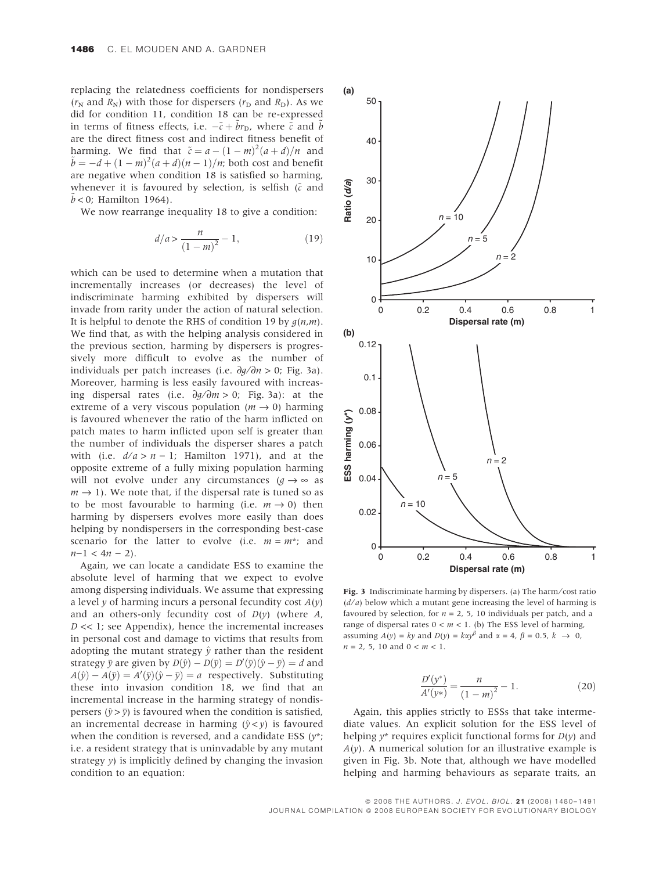replacing the relatedness coefficients for nondispersers  $(r_N$  and  $R_N$ ) with those for dispersers  $(r_D$  and  $R_D)$ . As we did for condition 11, condition 18 can be re-expressed in terms of fitness effects, i.e.  $-\tilde{c} + \tilde{b}r_D$ , where  $\tilde{c}$  and  $\tilde{b}$ are the direct fitness cost and indirect fitness benefit of harming. We find that  $\tilde{c} = a - (1 - m)^2$ harming. We find that  $\tilde{c} = a - (1 - m)^2 (a + d)/n$  and  $\tilde{b} = -d + (1 - m)^2 (a + d)(n - 1)/n$ ; both cost and benefit are negative when condition 18 is satisfied so harming, whenever it is favoured by selection, is selfish ( $\tilde{c}$  and  $\tilde{b}$  < 0; Hamilton 1964).

We now rearrange inequality 18 to give a condition:

$$
d/a > \frac{n}{(1-m)^2} - 1,\tag{19}
$$

which can be used to determine when a mutation that incrementally increases (or decreases) the level of indiscriminate harming exhibited by dispersers will invade from rarity under the action of natural selection. It is helpful to denote the RHS of condition 19 by  $g(n,m)$ . We find that, as with the helping analysis considered in the previous section, harming by dispersers is progressively more difficult to evolve as the number of individuals per patch increases (i.e.  $\partial g / \partial n > 0$ ; Fig. 3a). Moreover, harming is less easily favoured with increasing dispersal rates (i.e.  $\partial g / \partial m > 0$ ; Fig. 3a): at the extreme of a very viscous population ( $m \rightarrow 0$ ) harming is favoured whenever the ratio of the harm inflicted on patch mates to harm inflicted upon self is greater than the number of individuals the disperser shares a patch with (i.e.  $d/a > n - 1$ ; Hamilton 1971), and at the opposite extreme of a fully mixing population harming will not evolve under any circumstances ( $g \rightarrow \infty$  as  $m \rightarrow 1$ ). We note that, if the dispersal rate is tuned so as to be most favourable to harming (i.e.  $m \rightarrow 0$ ) then harming by dispersers evolves more easily than does helping by nondispersers in the corresponding best-case scenario for the latter to evolve (i.e.  $m = m^*$ ; and  $n-1 < 4n - 2$ ).

Again, we can locate a candidate ESS to examine the absolute level of harming that we expect to evolve among dispersing individuals. We assume that expressing a level  $y$  of harming incurs a personal fecundity cost  $A(y)$ and an others-only fecundity cost of  $D(y)$  (where A,  $D \ll 1$ ; see Appendix), hence the incremental increases in personal cost and damage to victims that results from adopting the mutant strategy  $\hat{y}$  rather than the resident strategy  $\bar{y}$  are given by  $D(\hat{y}) - D(\bar{y}) = D'(\bar{y})(\hat{y} - \bar{y}) = d$  and  $A(\hat{y}) - A(\bar{y}) = A'(\bar{y})(\hat{y} - \bar{y}) = a$  respectively. Substituting these into invasion condition 18, we find that an incremental increase in the harming strategy of nondispersers  $(\hat{y} > \bar{y})$  is favoured when the condition is satisfied, an incremental decrease in harming  $(\hat{y} \lt y)$  is favoured when the condition is reversed, and a candidate ESS  $(y^*;$ i.e. a resident strategy that is uninvadable by any mutant strategy  $y$ ) is implicitly defined by changing the invasion condition to an equation:



Fig. 3 Indiscriminate harming by dispersers. (a) The harm/cost ratio  $(d/a)$  below which a mutant gene increasing the level of harming is favoured by selection, for  $n = 2$ , 5, 10 individuals per patch, and a range of dispersal rates  $0 < m < 1$ . (b) The ESS level of harming, assuming  $A(y) = ky$  and  $D(y) = k\alpha y^{\beta}$  and  $\alpha = 4$ ,  $\beta = 0.5$ ,  $k \rightarrow 0$ ,  $n = 2, 5, 10$  and  $0 < m < 1$ .

$$
\frac{D'(y^*)}{A'(y^*)} = \frac{n}{(1-m)^2} - 1.
$$
 (20)

Again, this applies strictly to ESSs that take intermediate values. An explicit solution for the ESS level of helping  $y^*$  requires explicit functional forms for  $D(y)$  and  $A(y)$ . A numerical solution for an illustrative example is given in Fig. 3b. Note that, although we have modelled helping and harming behaviours as separate traits, an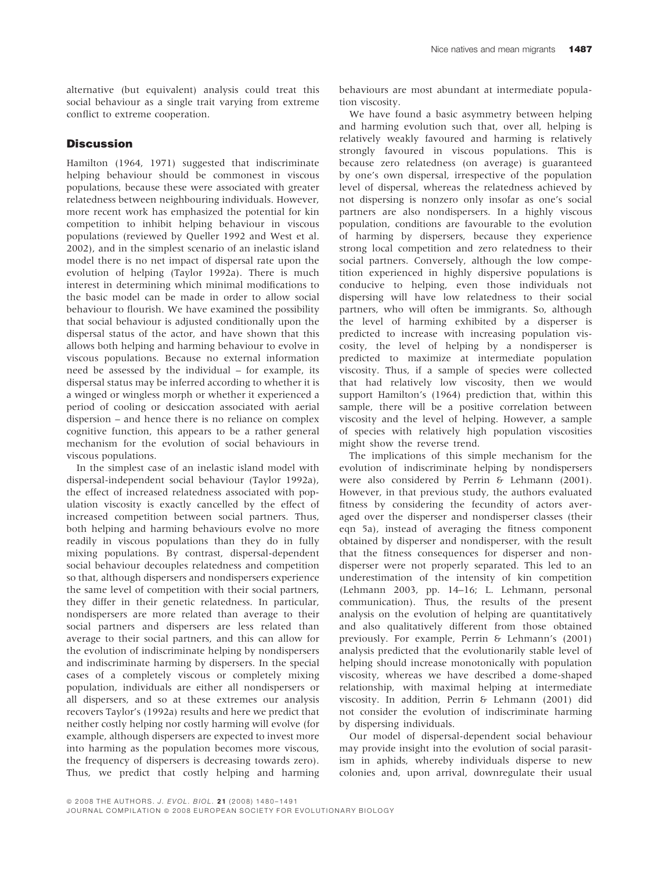alternative (but equivalent) analysis could treat this social behaviour as a single trait varying from extreme conflict to extreme cooperation.

## **Discussion**

Hamilton (1964, 1971) suggested that indiscriminate helping behaviour should be commonest in viscous populations, because these were associated with greater relatedness between neighbouring individuals. However, more recent work has emphasized the potential for kin competition to inhibit helping behaviour in viscous populations (reviewed by Queller 1992 and West et al. 2002), and in the simplest scenario of an inelastic island model there is no net impact of dispersal rate upon the evolution of helping (Taylor 1992a). There is much interest in determining which minimal modifications to the basic model can be made in order to allow social behaviour to flourish. We have examined the possibility that social behaviour is adjusted conditionally upon the dispersal status of the actor, and have shown that this allows both helping and harming behaviour to evolve in viscous populations. Because no external information need be assessed by the individual – for example, its dispersal status may be inferred according to whether it is a winged or wingless morph or whether it experienced a period of cooling or desiccation associated with aerial dispersion – and hence there is no reliance on complex cognitive function, this appears to be a rather general mechanism for the evolution of social behaviours in viscous populations.

In the simplest case of an inelastic island model with dispersal-independent social behaviour (Taylor 1992a), the effect of increased relatedness associated with population viscosity is exactly cancelled by the effect of increased competition between social partners. Thus, both helping and harming behaviours evolve no more readily in viscous populations than they do in fully mixing populations. By contrast, dispersal-dependent social behaviour decouples relatedness and competition so that, although dispersers and nondispersers experience the same level of competition with their social partners, they differ in their genetic relatedness. In particular, nondispersers are more related than average to their social partners and dispersers are less related than average to their social partners, and this can allow for the evolution of indiscriminate helping by nondispersers and indiscriminate harming by dispersers. In the special cases of a completely viscous or completely mixing population, individuals are either all nondispersers or all dispersers, and so at these extremes our analysis recovers Taylor's (1992a) results and here we predict that neither costly helping nor costly harming will evolve (for example, although dispersers are expected to invest more into harming as the population becomes more viscous, the frequency of dispersers is decreasing towards zero). Thus, we predict that costly helping and harming behaviours are most abundant at intermediate population viscosity.

We have found a basic asymmetry between helping and harming evolution such that, over all, helping is relatively weakly favoured and harming is relatively strongly favoured in viscous populations. This is because zero relatedness (on average) is guaranteed by one's own dispersal, irrespective of the population level of dispersal, whereas the relatedness achieved by not dispersing is nonzero only insofar as one's social partners are also nondispersers. In a highly viscous population, conditions are favourable to the evolution of harming by dispersers, because they experience strong local competition and zero relatedness to their social partners. Conversely, although the low competition experienced in highly dispersive populations is conducive to helping, even those individuals not dispersing will have low relatedness to their social partners, who will often be immigrants. So, although the level of harming exhibited by a disperser is predicted to increase with increasing population viscosity, the level of helping by a nondisperser is predicted to maximize at intermediate population viscosity. Thus, if a sample of species were collected that had relatively low viscosity, then we would support Hamilton's (1964) prediction that, within this sample, there will be a positive correlation between viscosity and the level of helping. However, a sample of species with relatively high population viscosities might show the reverse trend.

The implications of this simple mechanism for the evolution of indiscriminate helping by nondispersers were also considered by Perrin & Lehmann (2001). However, in that previous study, the authors evaluated fitness by considering the fecundity of actors averaged over the disperser and nondisperser classes (their eqn 5a), instead of averaging the fitness component obtained by disperser and nondisperser, with the result that the fitness consequences for disperser and nondisperser were not properly separated. This led to an underestimation of the intensity of kin competition (Lehmann 2003, pp. 14–16; L. Lehmann, personal communication). Thus, the results of the present analysis on the evolution of helping are quantitatively and also qualitatively different from those obtained previously. For example, Perrin & Lehmann's (2001) analysis predicted that the evolutionarily stable level of helping should increase monotonically with population viscosity, whereas we have described a dome-shaped relationship, with maximal helping at intermediate viscosity. In addition, Perrin & Lehmann (2001) did not consider the evolution of indiscriminate harming by dispersing individuals.

Our model of dispersal-dependent social behaviour may provide insight into the evolution of social parasitism in aphids, whereby individuals disperse to new colonies and, upon arrival, downregulate their usual

JOURNAL COMPILATION © 2008 EUROPEAN SOCIETY FOR EVOLUTIONARY BIOLOGY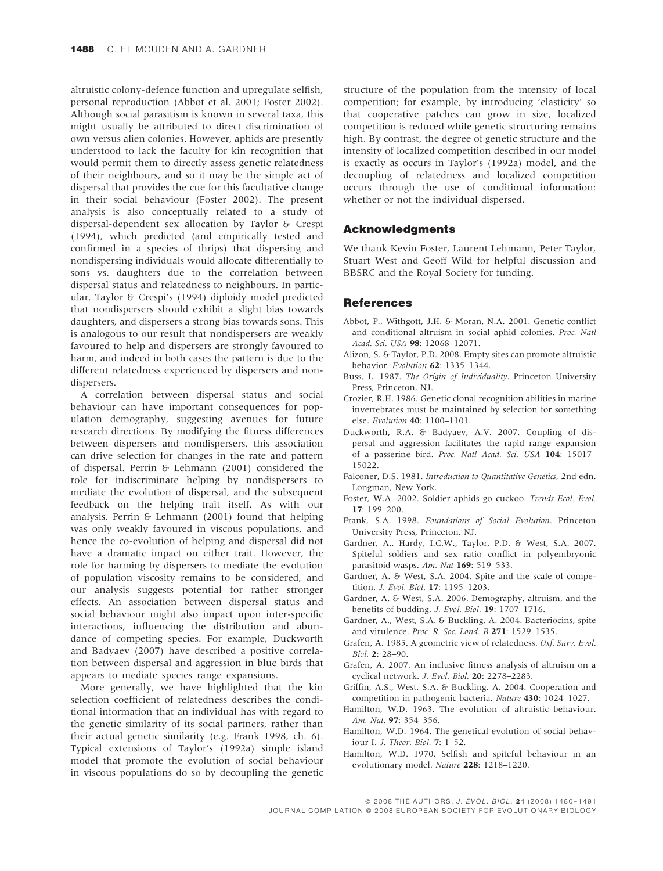altruistic colony-defence function and upregulate selfish, personal reproduction (Abbot et al. 2001; Foster 2002). Although social parasitism is known in several taxa, this might usually be attributed to direct discrimination of own versus alien colonies. However, aphids are presently understood to lack the faculty for kin recognition that would permit them to directly assess genetic relatedness of their neighbours, and so it may be the simple act of dispersal that provides the cue for this facultative change in their social behaviour (Foster 2002). The present analysis is also conceptually related to a study of dispersal-dependent sex allocation by Taylor & Crespi (1994), which predicted (and empirically tested and confirmed in a species of thrips) that dispersing and nondispersing individuals would allocate differentially to sons vs. daughters due to the correlation between dispersal status and relatedness to neighbours. In particular, Taylor & Crespi's (1994) diploidy model predicted that nondispersers should exhibit a slight bias towards daughters, and dispersers a strong bias towards sons. This is analogous to our result that nondispersers are weakly favoured to help and dispersers are strongly favoured to harm, and indeed in both cases the pattern is due to the different relatedness experienced by dispersers and nondispersers.

A correlation between dispersal status and social behaviour can have important consequences for population demography, suggesting avenues for future research directions. By modifying the fitness differences between dispersers and nondispersers, this association can drive selection for changes in the rate and pattern of dispersal. Perrin & Lehmann (2001) considered the role for indiscriminate helping by nondispersers to mediate the evolution of dispersal, and the subsequent feedback on the helping trait itself. As with our analysis, Perrin & Lehmann (2001) found that helping was only weakly favoured in viscous populations, and hence the co-evolution of helping and dispersal did not have a dramatic impact on either trait. However, the role for harming by dispersers to mediate the evolution of population viscosity remains to be considered, and our analysis suggests potential for rather stronger effects. An association between dispersal status and social behaviour might also impact upon inter-specific interactions, influencing the distribution and abundance of competing species. For example, Duckworth and Badyaev (2007) have described a positive correlation between dispersal and aggression in blue birds that appears to mediate species range expansions.

More generally, we have highlighted that the kin selection coefficient of relatedness describes the conditional information that an individual has with regard to the genetic similarity of its social partners, rather than their actual genetic similarity (e.g. Frank 1998, ch. 6). Typical extensions of Taylor's (1992a) simple island model that promote the evolution of social behaviour in viscous populations do so by decoupling the genetic structure of the population from the intensity of local competition; for example, by introducing 'elasticity' so that cooperative patches can grow in size, localized competition is reduced while genetic structuring remains high. By contrast, the degree of genetic structure and the intensity of localized competition described in our model is exactly as occurs in Taylor's (1992a) model, and the decoupling of relatedness and localized competition occurs through the use of conditional information: whether or not the individual dispersed.

## Acknowledgments

We thank Kevin Foster, Laurent Lehmann, Peter Taylor, Stuart West and Geoff Wild for helpful discussion and BBSRC and the Royal Society for funding.

#### References

- Abbot, P., Withgott, J.H. & Moran, N.A. 2001. Genetic conflict and conditional altruism in social aphid colonies. Proc. Natl Acad. Sci. USA 98: 12068–12071.
- Alizon, S. & Taylor, P.D. 2008. Empty sites can promote altruistic behavior. Evolution 62: 1335–1344.
- Buss, L. 1987. The Origin of Individuality. Princeton University Press, Princeton, NJ.
- Crozier, R.H. 1986. Genetic clonal recognition abilities in marine invertebrates must be maintained by selection for something else. Evolution 40: 1100–1101.
- Duckworth, R.A. & Badyaev, A.V. 2007. Coupling of dispersal and aggression facilitates the rapid range expansion of a passerine bird. Proc. Natl Acad. Sci. USA 104: 15017– 15022.
- Falconer, D.S. 1981. Introduction to Quantitative Genetics, 2nd edn. Longman, New York.
- Foster, W.A. 2002. Soldier aphids go cuckoo. Trends Ecol. Evol. 17: 199–200.
- Frank, S.A. 1998. Foundations of Social Evolution. Princeton University Press, Princeton, NJ.
- Gardner, A., Hardy, I.C.W., Taylor, P.D. & West, S.A. 2007. Spiteful soldiers and sex ratio conflict in polyembryonic parasitoid wasps. Am. Nat 169: 519–533.
- Gardner, A. & West, S.A. 2004. Spite and the scale of competition. J. Evol. Biol. 17: 1195–1203.
- Gardner, A. & West, S.A. 2006. Demography, altruism, and the benefits of budding. J. Evol. Biol. 19: 1707–1716.
- Gardner, A., West, S.A. & Buckling, A. 2004. Bacteriocins, spite and virulence. Proc. R. Soc. Lond. B 271: 1529–1535.
- Grafen, A. 1985. A geometric view of relatedness. Oxf. Surv. Evol. Biol. 2: 28–90.
- Grafen, A. 2007. An inclusive fitness analysis of altruism on a cyclical network. J. Evol. Biol. 20: 2278–2283.
- Griffin, A.S., West, S.A. & Buckling, A. 2004. Cooperation and competition in pathogenic bacteria. Nature 430: 1024–1027.
- Hamilton, W.D. 1963. The evolution of altruistic behaviour. Am. Nat. 97: 354–356.
- Hamilton, W.D. 1964. The genetical evolution of social behaviour I. J. Theor. Biol. 7: 1–52.
- Hamilton, W.D. 1970. Selfish and spiteful behaviour in an evolutionary model. Nature 228: 1218–1220.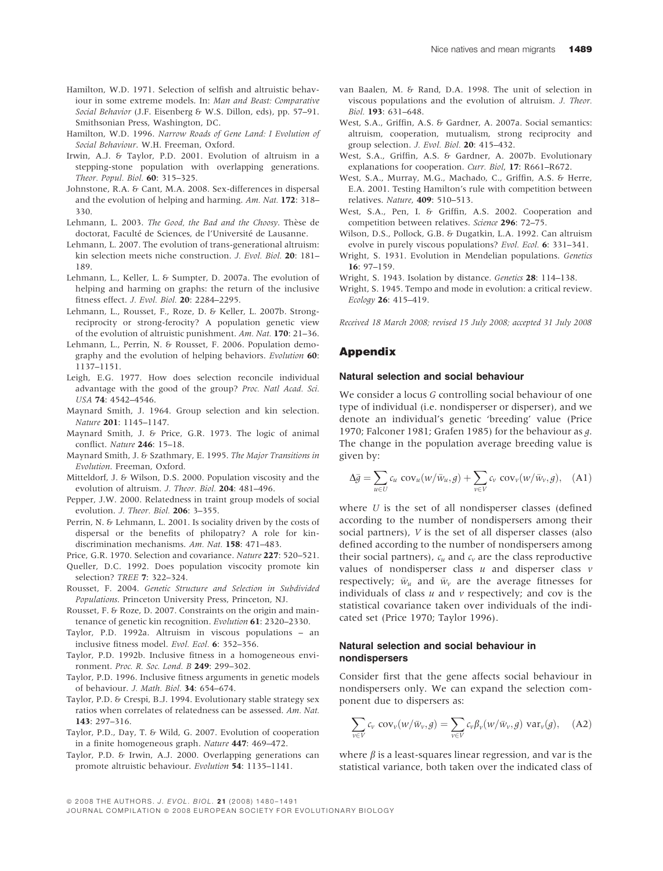- Hamilton, W.D. 1971. Selection of selfish and altruistic behaviour in some extreme models. In: Man and Beast: Comparative Social Behavior (J.F. Eisenberg & W.S. Dillon, eds), pp. 57–91. Smithsonian Press, Washington, DC.
- Hamilton, W.D. 1996. Narrow Roads of Gene Land: I Evolution of Social Behaviour. W.H. Freeman, Oxford.
- Irwin, A.J. & Taylor, P.D. 2001. Evolution of altruism in a stepping-stone population with overlapping generations. Theor. Popul. Biol. 60: 315–325.
- Johnstone, R.A. & Cant, M.A. 2008. Sex-differences in dispersal and the evolution of helping and harming. Am. Nat. 172: 318– 330.
- Lehmann, L. 2003. The Good, the Bad and the Choosy. Thèse de doctorat, Faculté de Sciences, de l'Université de Lausanne.
- Lehmann, L. 2007. The evolution of trans-generational altruism: kin selection meets niche construction. J. Evol. Biol. 20: 181– 189.
- Lehmann, L., Keller, L. & Sumpter, D. 2007a. The evolution of helping and harming on graphs: the return of the inclusive fitness effect. J. Evol. Biol. 20: 2284–2295.
- Lehmann, L., Rousset, F., Roze, D. & Keller, L. 2007b. Strongreciprocity or strong-ferocity? A population genetic view of the evolution of altruistic punishment. Am. Nat. 170: 21–36.
- Lehmann, L., Perrin, N. & Rousset, F. 2006. Population demography and the evolution of helping behaviors. Evolution 60: 1137–1151.
- Leigh, E.G. 1977. How does selection reconcile individual advantage with the good of the group? Proc. Natl Acad. Sci. USA 74: 4542–4546.
- Maynard Smith, J. 1964. Group selection and kin selection. Nature 201: 1145–1147.
- Maynard Smith, J. & Price, G.R. 1973. The logic of animal conflict. Nature 246: 15–18.
- Maynard Smith, J. & Szathmary, E. 1995. The Major Transitions in Evolution. Freeman, Oxford.
- Mitteldorf, J. & Wilson, D.S. 2000. Population viscosity and the evolution of altruism. J. Theor. Biol. 204: 481–496.
- Pepper, J.W. 2000. Relatedness in traint group models of social evolution. J. Theor. Biol. 206: 3–355.
- Perrin, N. & Lehmann, L. 2001. Is sociality driven by the costs of dispersal or the benefits of philopatry? A role for kindiscrimination mechanisms. Am. Nat. 158: 471–483.
- Price, G.R. 1970. Selection and covariance. Nature 227: 520–521.
- Queller, D.C. 1992. Does population viscocity promote kin selection? TREE 7: 322–324.
- Rousset, F. 2004. Genetic Structure and Selection in Subdivided Populations. Princeton University Press, Princeton, NJ.
- Rousset, F. & Roze, D. 2007. Constraints on the origin and maintenance of genetic kin recognition. Evolution 61: 2320–2330.
- Taylor, P.D. 1992a. Altruism in viscous populations an inclusive fitness model. Evol. Ecol. 6: 352–356.
- Taylor, P.D. 1992b. Inclusive fitness in a homogeneous environment. Proc. R. Soc. Lond. B 249: 299–302.
- Taylor, P.D. 1996. Inclusive fitness arguments in genetic models of behaviour. J. Math. Biol. 34: 654–674.
- Taylor, P.D. & Crespi, B.J. 1994. Evolutionary stable strategy sex ratios when correlates of relatedness can be assessed. Am. Nat. 143: 297–316.
- Taylor, P.D., Day, T. & Wild, G. 2007. Evolution of cooperation in a finite homogeneous graph. Nature 447: 469–472.
- Taylor, P.D. & Irwin, A.J. 2000. Overlapping generations can promote altruistic behaviour. Evolution 54: 1135–1141.
- van Baalen, M. & Rand, D.A. 1998. The unit of selection in viscous populations and the evolution of altruism. J. Theor. Biol. 193: 631–648.
- West, S.A., Griffin, A.S. & Gardner, A. 2007a. Social semantics: altruism, cooperation, mutualism, strong reciprocity and group selection. J. Evol. Biol. 20: 415–432.
- West, S.A., Griffin, A.S. & Gardner, A. 2007b. Evolutionary explanations for cooperation. Curr. Biol, 17: R661–R672.
- West, S.A., Murray, M.G., Machado, C., Griffin, A.S. & Herre, E.A. 2001. Testing Hamilton's rule with competition between relatives. Nature, 409: 510–513.
- West, S.A., Pen, I. & Griffin, A.S. 2002. Cooperation and competition between relatives. Science 296: 72–75.
- Wilson, D.S., Pollock, G.B. & Dugatkin, L.A. 1992. Can altruism evolve in purely viscous populations? Evol. Ecol. 6: 331–341.
- Wright, S. 1931. Evolution in Mendelian populations. Genetics  $16: 97-159$ .
- Wright, S. 1943. Isolation by distance. Genetics 28: 114–138.
- Wright, S. 1945. Tempo and mode in evolution: a critical review. Ecology 26: 415–419.

Received 18 March 2008; revised 15 July 2008; accepted 31 July 2008

## Appendix

## Natural selection and social behaviour

We consider a locus G controlling social behaviour of one type of individual (i.e. nondisperser or disperser), and we denote an individual's genetic 'breeding' value (Price 1970; Falconer 1981; Grafen 1985) for the behaviour as g. The change in the population average breeding value is given by:

$$
\Delta \bar{g} = \sum_{u \in U} c_u \operatorname{cov}_u(w/\bar{w}_u, g) + \sum_{v \in V} c_v \operatorname{cov}_v(w/\bar{w}_v, g), \quad \text{(A1)}
$$

where  $U$  is the set of all nondisperser classes (defined according to the number of nondispersers among their social partners), V is the set of all disperser classes (also defined according to the number of nondispersers among their social partners),  $c_u$  and  $c_v$  are the class reproductive values of nondisperser class  $u$  and disperser class  $v$ respectively;  $\bar{w}_u$  and  $\bar{w}_v$  are the average fitnesses for individuals of class  $u$  and  $v$  respectively; and cov is the statistical covariance taken over individuals of the indicated set (Price 1970; Taylor 1996).

## Natural selection and social behaviour in nondispersers

Consider first that the gene affects social behaviour in nondispersers only. We can expand the selection component due to dispersers as:

$$
\sum_{v \in V} c_v \operatorname{cov}_v(w/\bar{w}_v, g) = \sum_{v \in V} c_v \beta_v(w/\bar{w}_v, g) \operatorname{var}_v(g), \quad \text{(A2)}
$$

where  $\beta$  is a least-squares linear regression, and var is the statistical variance, both taken over the indicated class of

<sup>© 2008</sup> THE AUTHORS. J. EVOL. BIOL. 21 (2008) 1480-1491 JOURNAL COMPILATION © 2008 EUROPEAN SOCIETY FOR EVOLUTIONARY BIOLOGY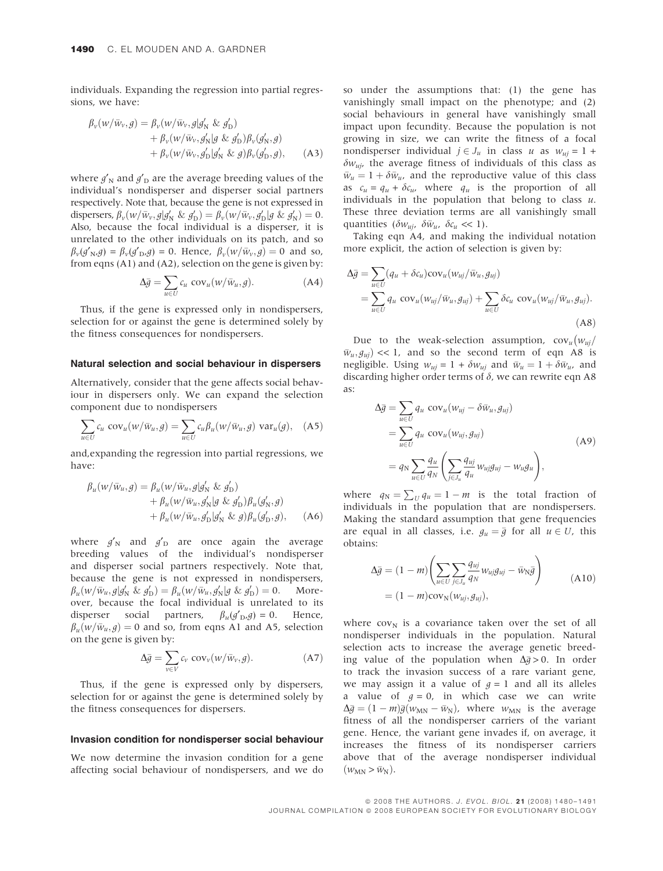individuals. Expanding the regression into partial regressions, we have:

$$
\beta_{\nu}(w/\bar{w}_{\nu}, g) = \beta_{\nu}(w/\bar{w}_{\nu}, g|g'_{N} \& g'_{D}) \n+ \beta_{\nu}(w/\bar{w}_{\nu}, g'_{N}|g \& g'_{D})\beta_{\nu}(g'_{N}, g) \n+ \beta_{\nu}(w/\bar{w}_{\nu}, g'_{D}|g'_{N} \& g)\beta_{\nu}(g'_{D}, g),
$$
\n(A3)

where  $g'_N$  and  $g'_D$  are the average breeding values of the individual's nondisperser and disperser social partners respectively. Note that, because the gene is not expressed in dispersers,  $\beta_v(w/\bar{w}_v, g|g'_N \& g'_D) = \beta_v(w/\bar{w}_v, g'_D|g \& g'_N) = 0.$ Also, because the focal individual is a disperser, it is unrelated to the other individuals on its patch, and so  $\beta_v(g'_{N},g) = \beta_v(g'_{D},g) = 0.$  Hence,  $\beta_v(w/\bar{w}_v,g) = 0$  and so, from eqns (A1) and (A2), selection on the gene is given by:

$$
\Delta \bar{g} = \sum_{u \in U} c_u \operatorname{cov}_u(w/\bar{w}_u, g). \tag{A4}
$$

Thus, if the gene is expressed only in nondispersers, selection for or against the gene is determined solely by the fitness consequences for nondispersers.

## Natural selection and social behaviour in dispersers

Alternatively, consider that the gene affects social behaviour in dispersers only. We can expand the selection component due to nondispersers

$$
\sum_{u \in U} c_u \operatorname{cov}_u(w/\bar{w}_u, g) = \sum_{u \in U} c_u \beta_u(w/\bar{w}_u, g) \operatorname{var}_u(g), \quad (A5)
$$

and,expanding the regression into partial regressions, we have:

$$
\beta_u(w/\bar{w}_u, g) = \beta_u(w/\bar{w}_u, g|g'_N \& g'_D) \n+ \beta_u(w/\bar{w}_u, g'_N|g \& g'_D)\beta_u(g'_N, g) \n+ \beta_u(w/\bar{w}_u, g'_D|g'_N \& g)\beta_u(g'_D, g),
$$
\n(A6)

where  $g_N'$  and  $g_D'$  are once again the average breeding values of the individual's nondisperser and disperser social partners respectively. Note that, because the gene is not expressed in nondispersers,  $\beta_u(w/\bar{w}_u, g|g'_N \& g'_D) = \beta_u(w/\bar{w}_u, g'_N|g \& g'_D) = 0.$  Moreover, because the focal individual is unrelated to its disperser social partners,  $\beta_u(q_{\text{D}}'q) = 0$ . Hence,  $\beta_u(w/\bar{w}_u, g) = 0$  and so, from eqns A1 and A5, selection on the gene is given by:

$$
\Delta \bar{g} = \sum_{v \in V} c_v \text{ cov}_v(w/\bar{w}_v, g). \tag{A7}
$$

Thus, if the gene is expressed only by dispersers, selection for or against the gene is determined solely by the fitness consequences for dispersers.

#### Invasion condition for nondisperser social behaviour

We now determine the invasion condition for a gene affecting social behaviour of nondispersers, and we do so under the assumptions that: (1) the gene has vanishingly small impact on the phenotype; and (2) social behaviours in general have vanishingly small impact upon fecundity. Because the population is not growing in size, we can write the fitness of a focal nondisperser individual  $j \in J_u$  in class u as  $w_{ui} = 1 +$  $\delta w_{ui}$ , the average fitness of individuals of this class as  $\bar{w}_u = 1 + \delta \bar{w}_u$ , and the reproductive value of this class as  $c_u = q_u + \delta c_u$ , where  $q_u$  is the proportion of all individuals in the population that belong to class  $u$ . These three deviation terms are all vanishingly small quantities ( $\delta w_{uj}$ ,  $\delta \bar{w}_u$ ,  $\delta c_u \ll 1$ ).

Taking eqn A4, and making the individual notation more explicit, the action of selection is given by:

$$
\Delta \bar{g} = \sum_{u \in U} (q_u + \delta c_u) \text{cov}_u(w_{uj}/\bar{w}_u, g_{uj})
$$
  
= 
$$
\sum_{u \in U} q_u \text{ cov}_u(w_{uj}/\bar{w}_u, g_{uj}) + \sum_{u \in U} \delta c_u \text{ cov}_u(w_{uj}/\bar{w}_u, g_{uj}).
$$
  
(A8)

Due to the weak-selection assumption,  $cov_u(w_{ui})$  $\bar{w}_u, g_{uj}$   $<< 1$ , and so the second term of eqn A8 is negligible. Using  $w_{uj} = 1 + \delta w_{uj}$  and  $\bar{w}_u = 1 + \delta \bar{w}_u$ , and discarding higher order terms of  $\delta$ , we can rewrite eqn A8 as:

$$
\Delta \bar{g} = \sum_{u \in U} q_u \text{ cov}_u(w_{uj} - \delta \bar{w}_u, g_{uj})
$$
  
= 
$$
\sum_{u \in U} q_u \text{ cov}_u(w_{uj}, g_{uj})
$$
  
= 
$$
q_N \sum_{u \in U} \frac{q_u}{q_N} \left( \sum_{j \in J_u} \frac{q_{uj}}{q_u} w_{uj} g_{uj} - w_u g_u \right),
$$
 (A9)

where  $q_N = \sum_U q_u = 1 - m$  is the total fraction of individuals in the population that are nondispersers. Making the standard assumption that gene frequencies are equal in all classes, i.e.  $g_u = \bar{g}$  for all  $u \in U$ , this obtains:

$$
\Delta \bar{g} = (1 - m) \left( \sum_{u \in U} \sum_{j \in J_u} \frac{q_{uj}}{q_N} w_{uj} g_{uj} - \bar{w}_{N} \bar{g} \right)
$$
  
=  $(1 - m) \text{cov}_N (w_{uj}, g_{uj}),$  (A10)

where  $cov_N$  is a covariance taken over the set of all nondisperser individuals in the population. Natural selection acts to increase the average genetic breeding value of the population when  $\Delta \bar{g} > 0$ . In order to track the invasion success of a rare variant gene, we may assign it a value of  $g = 1$  and all its alleles a value of  $g = 0$ , in which case we can write  $\Delta \bar{g} = (1 - m)\bar{g}(w_{MN} - \bar{w}_{N})$ , where  $w_{MN}$  is the average fitness of all the nondisperser carriers of the variant gene. Hence, the variant gene invades if, on average, it increases the fitness of its nondisperser carriers above that of the average nondisperser individual  $(w_{MN} > \bar{w}_N).$